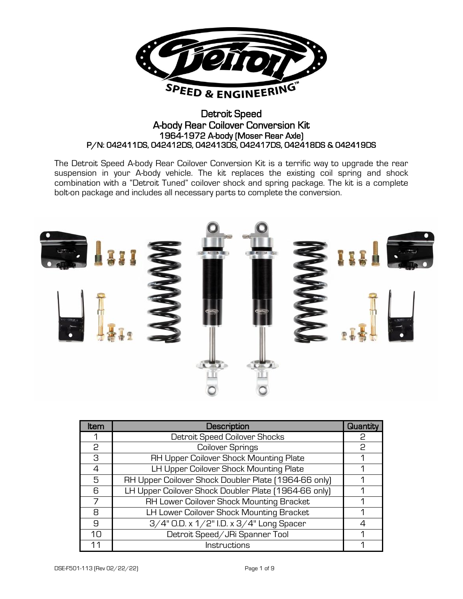

# Detroit Speed A-body Rear Coilover Conversion Kit 1964-1972 A-body (Moser Rear Axle) P/N: 042411DS, 042412DS, 042413DS, 042417DS, 042418DS & 042419DS

The Detroit Speed A-body Rear Coilover Conversion Kit is a terrific way to upgrade the rear suspension in your A-body vehicle. The kit replaces the existing coil spring and shock combination with a "Detroit Tuned" coilover shock and spring package. The kit is a complete bolt-on package and includes all necessary parts to complete the conversion.



| Item     | <b>Description</b>                                   | Quantity |
|----------|------------------------------------------------------|----------|
|          | Detroit Speed Coilover Shocks                        | P        |
| 2        | Coilover Springs                                     | 2        |
| 3        | RH Upper Coilover Shock Mounting Plate               |          |
| 4        | LH Upper Coilover Shock Mounting Plate               |          |
| 5        | RH Upper Coilover Shock Doubler Plate [1964-66 only] |          |
| R        | LH Upper Coilover Shock Doubler Plate [1964-66 only] |          |
|          | RH Lower Coilover Shock Mounting Bracket             |          |
| 8        | LH Lower Coilover Shock Mounting Bracket             |          |
| 9        | 3/4" O.D. x 1/2" I.D. x 3/4" Long Spacer             |          |
| $1 \cap$ | Detroit Speed/JRi Spanner Tool                       |          |
| 11       | Instructions                                         |          |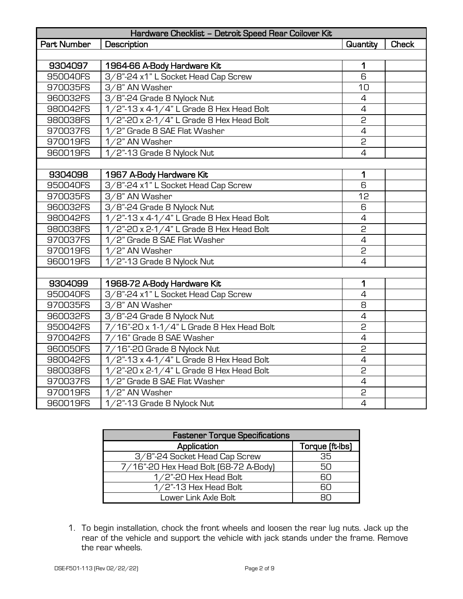| Hardware Checklist - Detroit Speed Rear Coilover Kit |                                             |                 |              |  |  |
|------------------------------------------------------|---------------------------------------------|-----------------|--------------|--|--|
| Part Number                                          | Description                                 | <b>Quantity</b> | <b>Check</b> |  |  |
|                                                      |                                             |                 |              |  |  |
| 9304097                                              | 1964-66 A-Body Hardware Kit                 | 1               |              |  |  |
| 950040FS                                             | 3/8"-24 x1" L Socket Head Cap Screw         | 6               |              |  |  |
| 970035FS                                             | 3/8" AN Washer                              | 10              |              |  |  |
| 960032FS                                             | 3/8"-24 Grade 8 Nylock Nut                  | $\overline{4}$  |              |  |  |
| 980042FS                                             | 1/2"-13 x 4-1/4" L Grade 8 Hex Head Bolt    | $\overline{4}$  |              |  |  |
| 980038FS                                             | 1/2"-20 x 2-1/4" L Grade 8 Hex Head Bolt    | 2               |              |  |  |
| 970037FS                                             | 1/2" Grade 8 SAE Flat Washer                | $\overline{4}$  |              |  |  |
| 970019FS                                             | 1/2" AN Washer                              | 2               |              |  |  |
| 960019FS                                             | 1/2"-13 Grade 8 Nylock Nut                  | $\overline{4}$  |              |  |  |
|                                                      |                                             |                 |              |  |  |
| 9304098                                              | 1967 A-Body Hardware Kit                    | 1               |              |  |  |
| 950040FS                                             | 3/8"-24 x1" L Socket Head Cap Screw         | 6               |              |  |  |
| 970035FS                                             | 3/8" AN Washer                              | 12              |              |  |  |
| 960032FS                                             | 3/8"-24 Grade 8 Nylock Nut                  | 6               |              |  |  |
| 980042FS                                             | 1/2"-13 x 4-1/4" L Grade 8 Hex Head Bolt    | $\overline{4}$  |              |  |  |
| 980038FS                                             | 1/2"-20 x 2-1/4" L Grade 8 Hex Head Bolt    | 2               |              |  |  |
| 970037FS                                             | 1/2" Grade 8 SAE Flat Washer                | $\overline{4}$  |              |  |  |
| 970019FS                                             | 1/2" AN Washer                              | 2               |              |  |  |
| 960019FS                                             | 1/2"-13 Grade 8 Nylock Nut                  | $\overline{4}$  |              |  |  |
|                                                      |                                             |                 |              |  |  |
| 9304099                                              | 1968-72 A-Body Hardware Kit                 | 1               |              |  |  |
| 950040FS                                             | 3/8"-24 x1" L Socket Head Cap Screw         | $\overline{4}$  |              |  |  |
| 970035FS                                             | 3/8" AN Washer                              | 8               |              |  |  |
| 960032FS                                             | 3/8"-24 Grade 8 Nylock Nut                  | 4               |              |  |  |
| 950042FS                                             | 7/16"-20 x 1-1/4" L Grade 8 Hex Head Bolt   | 2               |              |  |  |
| 970042FS                                             | 7/16" Grade 8 SAE Washer                    | $\overline{4}$  |              |  |  |
| 960050FS                                             | 7/16"-20 Grade 8 Nylock Nut                 | 2               |              |  |  |
| 980042FS                                             | $1/2$ "-13 x 4-1/4" L Grade 8 Hex Head Bolt | $\overline{4}$  |              |  |  |
| 980038FS                                             | 1/2"-20 x 2-1/4" L Grade 8 Hex Head Bolt    | $\overline{c}$  |              |  |  |
| 970037FS                                             | 1/2" Grade 8 SAE Flat Washer                | $\overline{4}$  |              |  |  |
| 970019FS                                             | 1/2" AN Washer                              | 2               |              |  |  |
| 960019FS                                             | 1/2"-13 Grade 8 Nylock Nut                  | $\overline{4}$  |              |  |  |

| <b>Fastener Torque Specifications</b> |                 |  |  |  |
|---------------------------------------|-----------------|--|--|--|
| Application                           | Torque (ft-lbs) |  |  |  |
| 3/8"-24 Socket Head Cap Screw         | 35              |  |  |  |
| 7/16"-20 Hex Head Bolt [68-72 A-Body] | 50              |  |  |  |
| $1/2$ "-20 Hex Head Bolt              | RП              |  |  |  |
| $1/2$ "-13 Hex Head Bolt              | RП              |  |  |  |
| Lower Link Axle Bolt                  | ∺∟              |  |  |  |

1. To begin installation, chock the front wheels and loosen the rear lug nuts. Jack up the rear of the vehicle and support the vehicle with jack stands under the frame. Remove the rear wheels.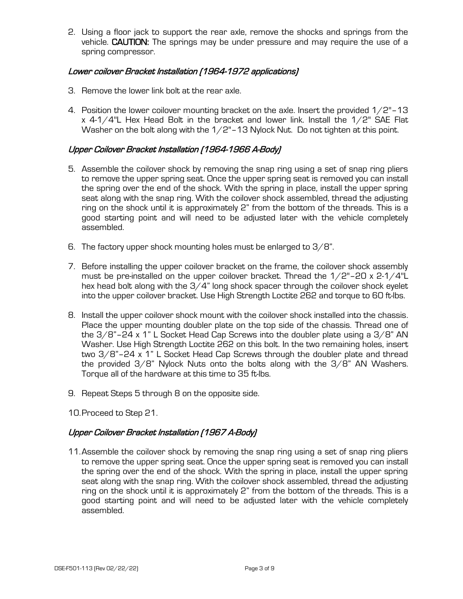2. Using a floor jack to support the rear axle, remove the shocks and springs from the vehicle. CAUTION: The springs may be under pressure and may require the use of a spring compressor.

## Lower coilover Bracket Installation (1964-1972 applications)

- 3. Remove the lower link bolt at the rear axle.
- 4. Position the lower coilover mounting bracket on the axle. Insert the provided  $1/2$ "-13 x 4-1/4"L Hex Head Bolt in the bracket and lower link. Install the 1/2" SAE Flat Washer on the bolt along with the 1/2"-13 Nylock Nut. Do not tighten at this point.

### Upper Coilover Bracket Installation (1964-1966 A-Body)

- 5. Assemble the coilover shock by removing the snap ring using a set of snap ring pliers to remove the upper spring seat. Once the upper spring seat is removed you can install the spring over the end of the shock. With the spring in place, install the upper spring seat along with the snap ring. With the coilover shock assembled, thread the adjusting ring on the shock until it is approximately 2" from the bottom of the threads. This is a good starting point and will need to be adjusted later with the vehicle completely assembled.
- 6. The factory upper shock mounting holes must be enlarged to  $3/8$ ".
- 7. Before installing the upper coilover bracket on the frame, the coilover shock assembly must be pre-installed on the upper coilover bracket. Thread the  $1/2$ "-20 x 2-1/4"L hex head bolt along with the  $3/4$ " long shock spacer through the coilover shock eyelet into the upper coilover bracket. Use High Strength Loctite 262 and torque to 60 ft-lbs.
- 8. Install the upper coilover shock mount with the coilover shock installed into the chassis. Place the upper mounting doubler plate on the top side of the chassis. Thread one of the  $3/8$ "-24 x 1" L Socket Head Cap Screws into the doubler plate using a  $3/8$ " AN Washer. Use High Strength Loctite 262 on this bolt. In the two remaining holes, insert two 3/8"–24 x 1" L Socket Head Cap Screws through the doubler plate and thread the provided  $3/8$ " Nylock Nuts onto the bolts along with the  $3/8$ " AN Washers. Torque all of the hardware at this time to 35 ft-lbs.
- 9. Repeat Steps 5 through 8 on the opposite side.
- 10.Proceed to Step 21.

### Upper Coilover Bracket Installation (1967 A-Body)

11.Assemble the coilover shock by removing the snap ring using a set of snap ring pliers to remove the upper spring seat. Once the upper spring seat is removed you can install the spring over the end of the shock. With the spring in place, install the upper spring seat along with the snap ring. With the coilover shock assembled, thread the adjusting ring on the shock until it is approximately 2" from the bottom of the threads. This is a good starting point and will need to be adjusted later with the vehicle completely assembled.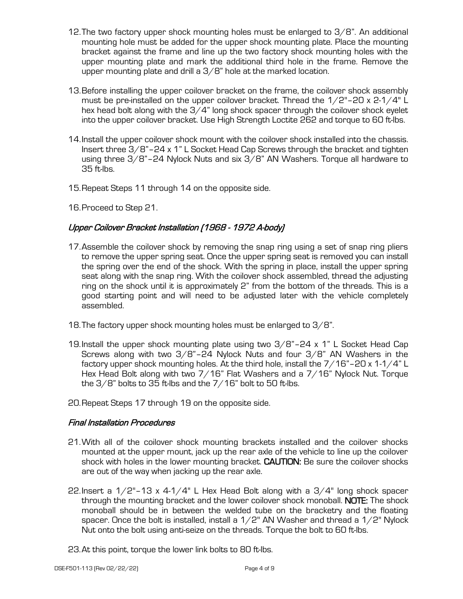- 12.The two factory upper shock mounting holes must be enlarged to 3/8". An additional mounting hole must be added for the upper shock mounting plate. Place the mounting bracket against the frame and line up the two factory shock mounting holes with the upper mounting plate and mark the additional third hole in the frame. Remove the upper mounting plate and drill a  $3/8$ " hole at the marked location.
- 13.Before installing the upper coilover bracket on the frame, the coilover shock assembly must be pre-installed on the upper coilover bracket. Thread the  $1/2$ "-20 x 2-1/4" L hex head bolt along with the  $3/4$ " long shock spacer through the coilover shock eyelet into the upper coilover bracket. Use High Strength Loctite 262 and torque to 60 ft-lbs.
- 14.Install the upper coilover shock mount with the coilover shock installed into the chassis. Insert three 3/8"–24 x 1" L Socket Head Cap Screws through the bracket and tighten using three 3/8"–24 Nylock Nuts and six 3/8" AN Washers. Torque all hardware to 35 ft-lbs.
- 15.Repeat Steps 11 through 14 on the opposite side.
- 16.Proceed to Step 21.

## Upper Coilover Bracket Installation (1968 - 1972 A-body)

- 17.Assemble the coilover shock by removing the snap ring using a set of snap ring pliers to remove the upper spring seat. Once the upper spring seat is removed you can install the spring over the end of the shock. With the spring in place, install the upper spring seat along with the snap ring. With the coilover shock assembled, thread the adjusting ring on the shock until it is approximately 2" from the bottom of the threads. This is a good starting point and will need to be adjusted later with the vehicle completely assembled.
- 18.The factory upper shock mounting holes must be enlarged to 3/8".
- 19.Install the upper shock mounting plate using two 3/8"–24 x 1" L Socket Head Cap Screws along with two 3/8"–24 Nylock Nuts and four 3/8" AN Washers in the factory upper shock mounting holes. At the third hole, install the  $7/16"$  – 20 x 1-1/4" L Hex Head Bolt along with two 7/16" Flat Washers and a 7/16" Nylock Nut. Torque the  $3/8$ " bolts to  $35$  ft-lbs and the  $7/16$ " bolt to 50 ft-lbs.

20.Repeat Steps 17 through 19 on the opposite side.

### Final Installation Procedures

- 21.With all of the coilover shock mounting brackets installed and the coilover shocks mounted at the upper mount, jack up the rear axle of the vehicle to line up the coilover shock with holes in the lower mounting bracket. CAUTION: Be sure the coilover shocks are out of the way when jacking up the rear axle.
- 22.Insert a  $1/2$ "-13 x 4-1/4" L Hex Head Bolt along with a  $3/4$ " long shock spacer through the mounting bracket and the lower coilover shock monoball. NOTE: The shock monoball should be in between the welded tube on the bracketry and the floating spacer. Once the bolt is installed, install a  $1/2$ " AN Washer and thread a  $1/2$ " Nylock Nut onto the bolt using anti-seize on the threads. Torque the bolt to 60 ft-lbs.
- 23.At this point, torque the lower link bolts to 80 ft-lbs.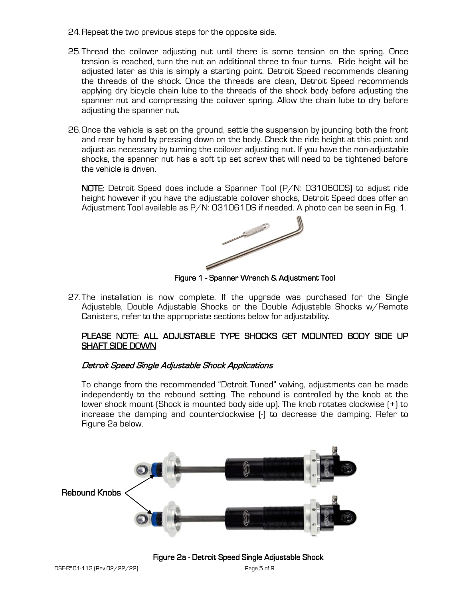- 24.Repeat the two previous steps for the opposite side.
- 25.Thread the coilover adjusting nut until there is some tension on the spring. Once tension is reached, turn the nut an additional three to four turns. Ride height will be adjusted later as this is simply a starting point. Detroit Speed recommends cleaning the threads of the shock. Once the threads are clean, Detroit Speed recommends applying dry bicycle chain lube to the threads of the shock body before adjusting the spanner nut and compressing the coilover spring. Allow the chain lube to dry before adjusting the spanner nut.
- 26.Once the vehicle is set on the ground, settle the suspension by jouncing both the front and rear by hand by pressing down on the body. Check the ride height at this point and adjust as necessary by turning the coilover adjusting nut. If you have the non-adjustable shocks, the spanner nut has a soft tip set screw that will need to be tightened before the vehicle is driven.

NOTE: Detroit Speed does include a Spanner Tool (P/N: 031060DS) to adjust ride height however if you have the adjustable coilover shocks, Detroit Speed does offer an Adjustment Tool available as P/N: 031061DS if needed. A photo can be seen in Fig. 1.



Figure 1 - Spanner Wrench & Adjustment Tool

27.The installation is now complete. If the upgrade was purchased for the Single Adjustable, Double Adjustable Shocks or the Double Adjustable Shocks w/Remote Canisters, refer to the appropriate sections below for adjustability.

### PLEASE NOTE: ALL ADJUSTABLE TYPE SHOCKS GET MOUNTED BODY SIDE UP SHAFT SIDE DOWN

### Detroit Speed Single Adjustable Shock Applications

To change from the recommended "Detroit Tuned" valving, adjustments can be made independently to the rebound setting. The rebound is controlled by the knob at the lower shock mount (Shock is mounted body side up). The knob rotates clockwise (+) to increase the damping and counterclockwise (-) to decrease the damping. Refer to Figure 2a below.



Figure 2a - Detroit Speed Single Adjustable Shock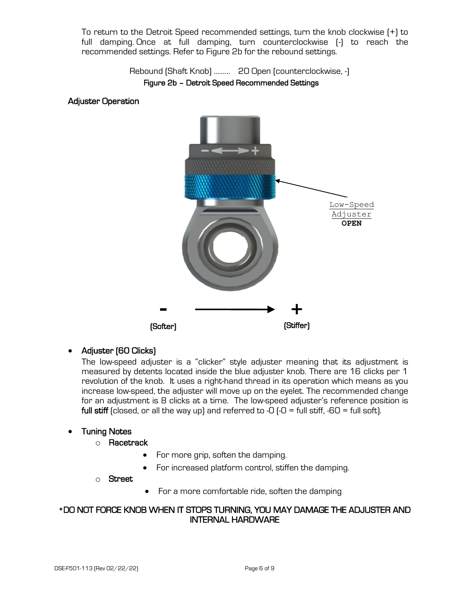To return to the Detroit Speed recommended settings, turn the knob clockwise (+) to full damping. Once at full damping, turn counterclockwise (-) to reach the recommended settings. Refer to Figure 2b for the rebound settings.

> Rebound (Shaft Knob) ……… 20 Open (counterclockwise, -) Figure 2b – Detroit Speed Recommended Settings

### Adjuster Operation

![](_page_5_Figure_3.jpeg)

### • Adjuster (60 Clicks)

The low-speed adjuster is a "clicker" style adjuster meaning that its adjustment is measured by detents located inside the blue adjuster knob. There are 16 clicks per 1 revolution of the knob. It uses a right-hand thread in its operation which means as you increase low-speed, the adjuster will move up on the eyelet. The recommended change for an adjustment is 8 clicks at a time. The low-speed adjuster's reference position is full stiff (closed, or all the way up) and referred to -0  $\left(-0\right)$  = full stiff, -60 = full soft).

### • Tuning Notes

- o Racetrack
	- For more grip, soften the damping.
	- For increased platform control, stiffen the damping.

#### o Street

• For a more comfortable ride, soften the damping

### \*DO NOT FORCE KNOB WHEN IT STOPS TURNING, YOU MAY DAMAGE THE ADJUSTER AND INTERNAL HARDWARE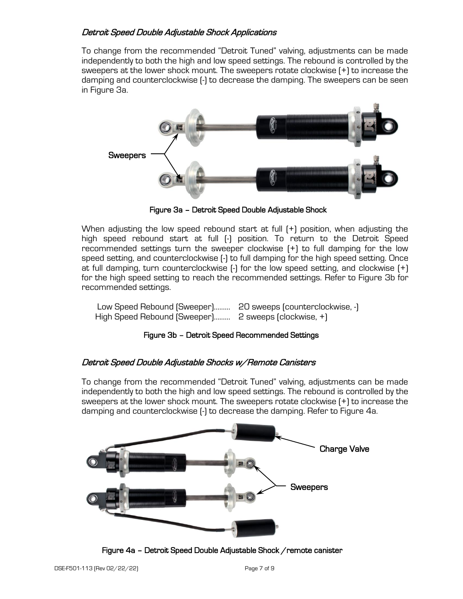## Detroit Speed Double Adjustable Shock Applications

To change from the recommended "Detroit Tuned" valving, adjustments can be made independently to both the high and low speed settings. The rebound is controlled by the sweepers at the lower shock mount. The sweepers rotate clockwise (+) to increase the damping and counterclockwise (-) to decrease the damping. The sweepers can be seen in Figure 3a.

![](_page_6_Picture_2.jpeg)

Figure 3a – Detroit Speed Double Adjustable Shock

When adjusting the low speed rebound start at full  $[+]$  position, when adjusting the high speed rebound start at full (-) position. To return to the Detroit Speed recommended settings turn the sweeper clockwise (+) to full damping for the low speed setting, and counterclockwise (-) to full damping for the high speed setting. Once at full damping, turn counterclockwise (-) for the low speed setting, and clockwise (+) for the high speed setting to reach the recommended settings. Refer to Figure 3b for recommended settings.

| Low Speed Rebound (Sweeper) 20 sweeps (counterclockwise, -) |  |
|-------------------------------------------------------------|--|
| High Speed Rebound (Sweeper) 2 sweeps (clockwise, +)        |  |

### Figure 3b – Detroit Speed Recommended Settings

### Detroit Speed Double Adjustable Shocks w/Remote Canisters

To change from the recommended "Detroit Tuned" valving, adjustments can be made independently to both the high and low speed settings. The rebound is controlled by the sweepers at the lower shock mount. The sweepers rotate clockwise (+) to increase the damping and counterclockwise (-) to decrease the damping. Refer to Figure 4a.

![](_page_6_Picture_9.jpeg)

Figure 4a – Detroit Speed Double Adjustable Shock /remote canister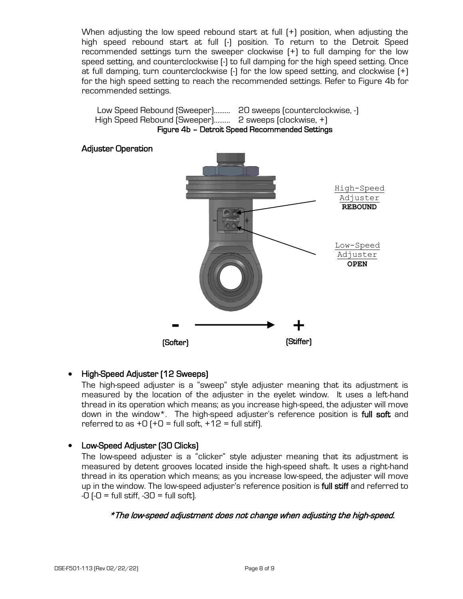When adjusting the low speed rebound start at full (+) position, when adjusting the high speed rebound start at full (-) position. To return to the Detroit Speed recommended settings turn the sweeper clockwise (+) to full damping for the low speed setting, and counterclockwise (-) to full damping for the high speed setting. Once at full damping, turn counterclockwise (-) for the low speed setting, and clockwise (+) for the high speed setting to reach the recommended settings. Refer to Figure 4b for recommended settings.

![](_page_7_Figure_1.jpeg)

![](_page_7_Figure_2.jpeg)

# • High-Speed Adjuster (12 Sweeps)

The high-speed adjuster is a "sweep" style adjuster meaning that its adjustment is measured by the location of the adjuster in the eyelet window. It uses a left-hand thread in its operation which means; as you increase high-speed, the adjuster will move down in the window<sup>\*</sup>. The high-speed adjuster's reference position is full soft and referred to as  $+0$  ( $+0$  = full soft,  $+12$  = full stiff).

# • Low-Speed Adjuster (30 Clicks)

The low-speed adjuster is a "clicker" style adjuster meaning that its adjustment is measured by detent grooves located inside the high-speed shaft. It uses a right-hand thread in its operation which means; as you increase low-speed, the adjuster will move up in the window. The low-speed adjuster's reference position is full stiff and referred to  $-0$  ( $-0$  = full stiff,  $-30$  = full soft).

# \*The low-speed adjustment does not change when adjusting the high-speed.